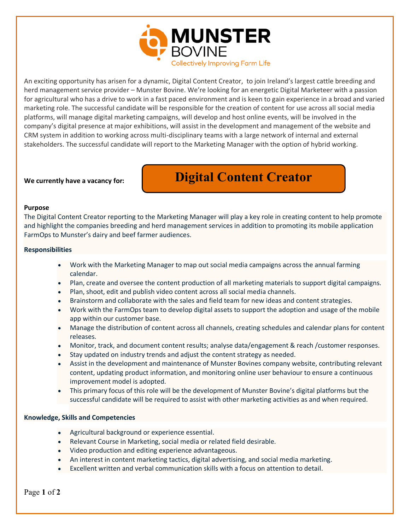

An exciting opportunity has arisen for a dynamic, Digital Content Creator, to join Ireland's largest cattle breeding and herd management service provider – Munster Bovine. We're looking for an energetic Digital Marketeer with a passion for agricultural who has a drive to work in a fast paced environment and is keen to gain experience in a broad and varied marketing role. The successful candidate will be responsible for the creation of content for use across all social media platforms, will manage digital marketing campaigns, will develop and host online events, will be involved in the company's digital presence at major exhibitions, will assist in the development and management of the website and CRM system in addition to working across multi-disciplinary teams with a large network of internal and external stakeholders. The successful candidate will report to the Marketing Manager with the option of hybrid working.

# **We currently have a vacancy for:**

# **Digital Content Creator**

### **Purpose**

The Digital Content Creator reporting to the Marketing Manager will play a key role in creating content to help promote and highlight the companies breeding and herd management services in addition to promoting its mobile application FarmOps to Munster's dairy and beef farmer audiences.

### **Responsibilities**

- Work with the Marketing Manager to map out social media campaigns across the annual farming calendar.
- Plan, create and oversee the content production of all marketing materials to support digital campaigns.
- Plan, shoot, edit and publish video content across all social media channels.
- Brainstorm and collaborate with the sales and field team for new ideas and content strategies.
- Work with the FarmOps team to develop digital assets to support the adoption and usage of the mobile app within our customer base.
- Manage the distribution of content across all channels, creating schedules and calendar plans for content releases.
- Monitor, track, and document content results; analyse data/engagement & reach /customer responses.
- Stay updated on industry trends and adjust the content strategy as needed.
- Assist in the development and maintenance of Munster Bovines company website, contributing relevant content, updating product information, and monitoring online user behaviour to ensure a continuous improvement model is adopted.
- This primary focus of this role will be the development of Munster Bovine's digital platforms but the successful candidate will be required to assist with other marketing activities as and when required.

# **Knowledge, Skills and Competencies**

- Agricultural background or experience essential.
- Relevant Course in Marketing, social media or related field desirable.
- Video production and editing experience advantageous.
- An interest in content marketing tactics, digital advertising, and social media marketing.
- Excellent written and verbal communication skills with a focus on attention to detail.

Page **1** of **2**